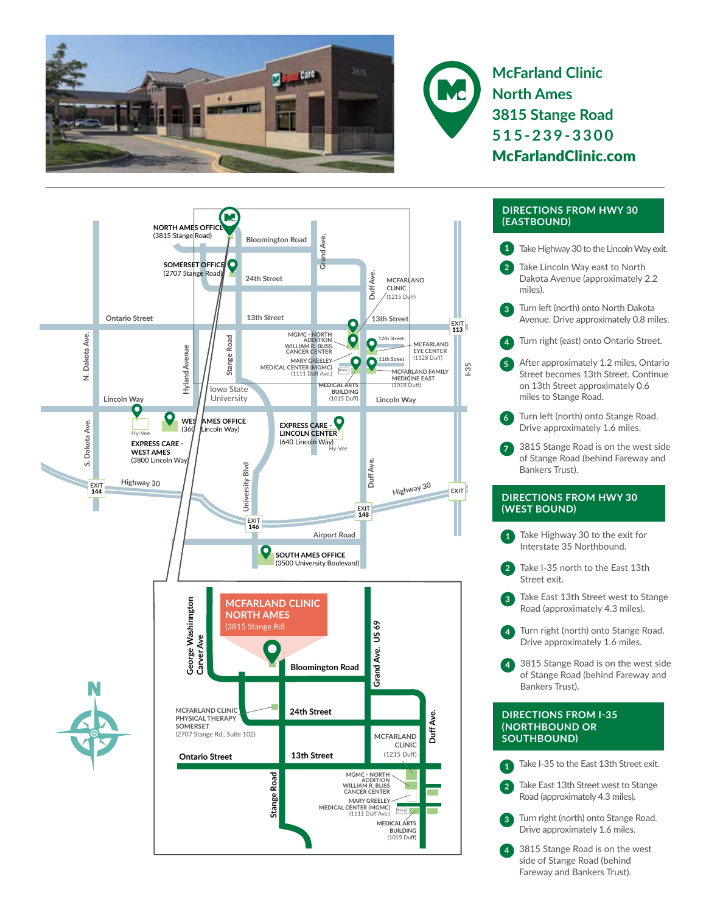



**McFarland Clinic North Ames 3815 Stange Road 515-239-3300** McFarlandClinic.com



## **DIRECTIONS FROM HWY 30 (EASTBOUND)**

- **1** Take Highway 30 to the Lincoln Way exit.
- **2** Take Lincoln Way east to North Dakota Avenue (approximately 2.2 miles).
- **3** Turn left (north) onto North Dakota Avenue. Drive approximately 0.8 miles.
- **4** Turn right (east) onto Ontario Street.
- **5** After approximately 1.2 miles, Ontario Street becomes 13th Street. Continue on 13th Street approximately 0.6 miles to Stange Road.
- Turn left (north) onto Stange Road. Drive approximately 1.6 miles.
- **7** 3815 Stange Road is on the west side of Stange Road (behind Fareway and Bankers Trust).

## **DIRECTIONS FROM HWY 30 (WEST BOUND)**

- **1** Take Highway 30 to the exit for Interstate 35 Northbound.
- **2** Take I-35 north to the East 13th Street exit.
- Take East 13th Street west to Stange Road (approximately 4.3 miles).
- **4** Turn right (north) onto Stange Road. Drive approximately 1.6 miles.
- **4** 3815 Stange Road is on the west side of Stange Road (behind Fareway and Bankers Trust).

## **DIRECTIONS FROM I-35 (NORTHBOUND OR SOUTHBOUND)**

**1** Take I-35 to the East 13th Street exit.

**2** Take East 13th Street west to Stange Road (approximately 4.3 miles).

- **3** Turn right (north) onto Stange Road. Drive approximately 1.6 miles.
- **4** 3815 Stange Road is on the west side of Stange Road (behind Fareway and Bankers Trust).